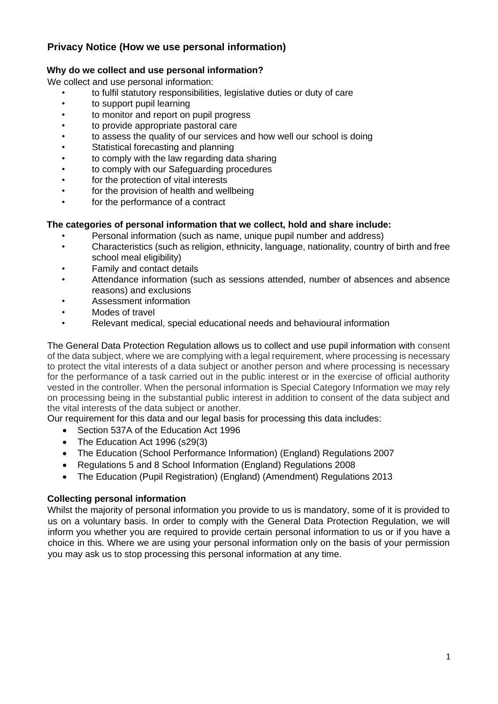# **Privacy Notice (How we use personal information)**

# **Why do we collect and use personal information?**

We collect and use personal information:

- to fulfil statutory responsibilities, legislative duties or duty of care
- to support pupil learning
- to monitor and report on pupil progress
- to provide appropriate pastoral care
- to assess the quality of our services and how well our school is doing
- Statistical forecasting and planning
- to comply with the law regarding data sharing
- to comply with our Safeguarding procedures
- for the protection of vital interests
- for the provision of health and wellbeing
- for the performance of a contract

## **The categories of personal information that we collect, hold and share include:**

- Personal information (such as name, unique pupil number and address)
- Characteristics (such as religion, ethnicity, language, nationality, country of birth and free school meal eligibility)
- Family and contact details
- Attendance information (such as sessions attended, number of absences and absence reasons) and exclusions
- Assessment information
- Modes of travel
- Relevant medical, special educational needs and behavioural information

The General Data Protection Regulation allows us to collect and use pupil information with consent of the data subject, where we are complying with a legal requirement, where processing is necessary to protect the vital interests of a data subject or another person and where processing is necessary for the performance of a task carried out in the public interest or in the exercise of official authority vested in the controller. When the personal information is Special Category Information we may rely on processing being in the substantial public interest in addition to consent of the data subject and the vital interests of the data subject or another.

Our requirement for this data and our legal basis for processing this data includes:

- Section 537A of the Education Act 1996
- The Education Act 1996 (s29(3)
- The Education (School Performance Information) (England) Regulations 2007
- Regulations 5 and 8 School Information (England) Regulations 2008
- The Education (Pupil Registration) (England) (Amendment) Regulations 2013

# **Collecting personal information**

Whilst the majority of personal information you provide to us is mandatory, some of it is provided to us on a voluntary basis. In order to comply with the General Data Protection Regulation, we will inform you whether you are required to provide certain personal information to us or if you have a choice in this. Where we are using your personal information only on the basis of your permission you may ask us to stop processing this personal information at any time.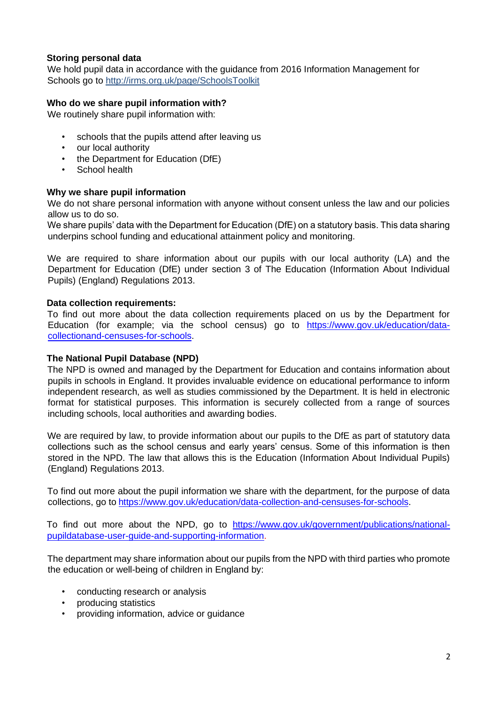## **Storing personal data**

We hold pupil data in accordance with the guidance from 2016 Information Management for Schools go to http://irms.org.uk/page/SchoolsToolkit

## **Who do we share pupil information with?**

We routinely share pupil information with:

- schools that the pupils attend after leaving us
- our local authority
- the Department for Education (DfE)
- School health

## **Why we share pupil information**

We do not share personal information with anyone without consent unless the law and our policies allow us to do so.

We share pupils' data with the Department for Education (DfE) on a statutory basis. This data sharing underpins school funding and educational attainment policy and monitoring.

We are required to share information about our pupils with our local authority (LA) and the Department for Education (DfE) under section 3 of The Education (Information About Individual Pupils) (England) Regulations 2013.

## **Data collection requirements:**

To find out more about the data collection requirements placed on us by the Department for Education (for example; via the school census) go to [https://www.gov.uk/education/data](https://www.gov.uk/education/data-collection-and-censuses-for-schools)[collectionand-censuses-for-schools.](https://www.gov.uk/education/data-collection-and-censuses-for-schools)

## **The National Pupil Database (NPD)**

The NPD is owned and managed by the Department for Education and contains information about pupils in schools in England. It provides invaluable evidence on educational performance to inform independent research, as well as studies commissioned by the Department. It is held in electronic format for statistical purposes. This information is securely collected from a range of sources including schools, local authorities and awarding bodies.

We are required by law, to provide information about our pupils to the DfE as part of statutory data collections such as the school census and early years' census. Some of this information is then stored in the NPD. The law that allows this is the Education (Information About Individual Pupils) (England) Regulations 2013.

To find out more about the pupil information we share with the department, for the purpose of data collections, go to [https://www.gov.uk/education/data-collection-and-censuses-for-schools.](https://www.gov.uk/education/data-collection-and-censuses-for-schools)

To find out more about the NPD, go to [https://www.gov.uk/government/publications/national](https://www.gov.uk/government/publications/national-pupil-database-user-guide-and-supporting-information)[pupildatabase-user-guide-and-supporting-information.](https://www.gov.uk/government/publications/national-pupil-database-user-guide-and-supporting-information)

The department may share information about our pupils from the NPD with third parties who promote the education or well-being of children in England by:

- conducting research or analysis
- producing statistics
- providing information, advice or guidance